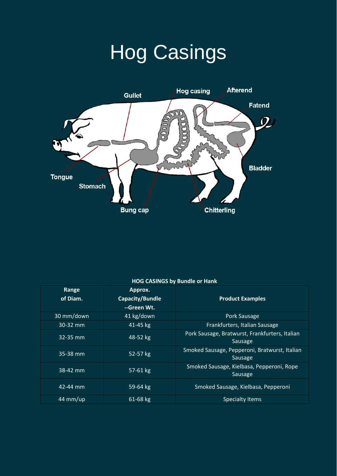## Hog Casings



## **HOG CASINGS by Bundle or Hank**

| Range<br>of Diam. | Approx.<br>Capacity/Bundle<br>--Green Wt. | <b>Product Examples</b>                                   |
|-------------------|-------------------------------------------|-----------------------------------------------------------|
| 30 mm/down        | 41 kg/down                                | Pork Sausage                                              |
| 30-32 mm          | 41-45 kg                                  | Frankfurters, Italian Sausage                             |
| $32 - 35$ mm      | 48-52 kg                                  | Pork Sausage, Bratwurst, Frankfurters, Italian<br>Sausage |
| $35-38$ mm        | 52-57 kg                                  | Smoked Sausage, Pepperoni, Bratwurst, Italian<br>Sausage  |
| 38-42 mm          | 57-61 kg                                  | Smoked Sausage, Kielbasa, Pepperoni, Rope<br>Sausage      |
| 42-44 mm          | 59-64 kg                                  | Smoked Sausage, Kielbasa, Pepperoni                       |
| 44 mm/up          | 61-68 kg                                  | <b>Specialty Items</b>                                    |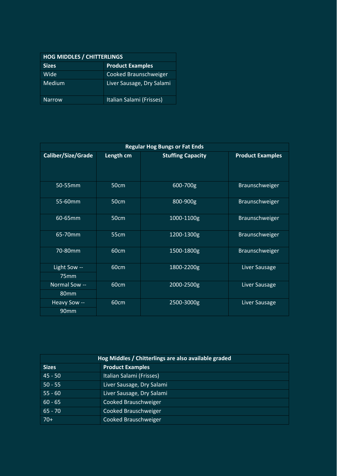| <b>HOG MIDDLES / CHITTERLINGS</b> |                           |  |  |
|-----------------------------------|---------------------------|--|--|
| <b>Sizes</b>                      | <b>Product Examples</b>   |  |  |
| Wide                              | Cooked Braunschweiger     |  |  |
| Medium                            | Liver Sausage, Dry Salami |  |  |
| <b>Narrow</b>                     | Italian Salami (Frisses)  |  |  |

| <b>Regular Hog Bungs or Fat Ends</b> |                  |                          |                         |  |
|--------------------------------------|------------------|--------------------------|-------------------------|--|
| Caliber/Size/Grade                   | Length cm        | <b>Stuffing Capacity</b> | <b>Product Examples</b> |  |
| 50-55mm                              | 50cm             | 600-700g                 | Braunschweiger          |  |
| 55-60mm                              | 50cm             | 800-900g                 | Braunschweiger          |  |
| 60-65mm                              | 50cm             | 1000-1100g               | Braunschweiger          |  |
| 65-70mm                              | 55 <sub>cm</sub> | 1200-1300g               | Braunschweiger          |  |
| 70-80mm                              | 60cm             | 1500-1800g               | Braunschweiger          |  |
| Light Sow --                         | 60cm             | 1800-2200g               | Liver Sausage           |  |
| 75mm                                 |                  |                          |                         |  |
| Normal Sow --                        | 60cm             | 2000-2500g               | Liver Sausage           |  |
| 80 <sub>mm</sub>                     |                  |                          |                         |  |
| Heavy Sow --                         | 60cm             | 2500-3000g               | Liver Sausage           |  |
| 90mm                                 |                  |                          |                         |  |

| Hog Middles / Chitterlings are also available graded |                           |  |  |
|------------------------------------------------------|---------------------------|--|--|
| <b>Sizes</b>                                         | <b>Product Examples</b>   |  |  |
| $45 - 50$                                            | Italian Salami (Frisses)  |  |  |
| $50 - 55$                                            | Liver Sausage, Dry Salami |  |  |
| $55 - 60$                                            | Liver Sausage, Dry Salami |  |  |
| $60 - 65$                                            | Cooked Brauschweiger      |  |  |
| $65 - 70$                                            | Cooked Brauschweiger      |  |  |
| $70+$                                                | Cooked Brauschweiger      |  |  |